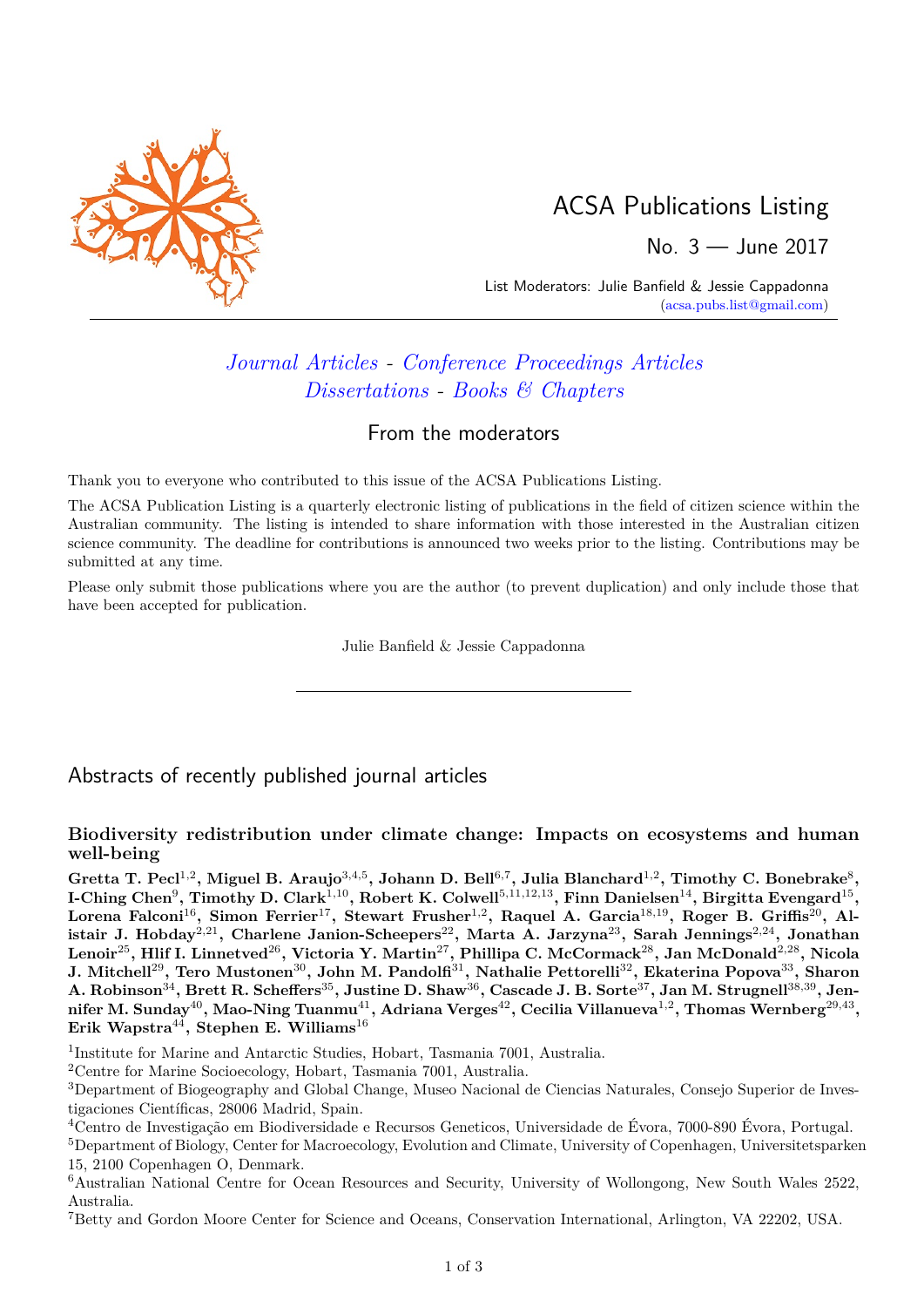

# ACSA Publications Listing

No. 3 — June 2017

List Moderators: Julie Banfield & Jessie Cappadonna [\(acsa.pubs.list@gmail.com\)](mailto:acsa.pubs.list@gmail.com)

# *[Journal Articles](#page-0-0) - [Conference Proceedings Articles](#page-4-0) [Dissertations](#page-4-1) - [Books & Chapters](#page-4-2)*

### From the moderators

Thank you to everyone who contributed to this issue of the ACSA Publications Listing.

The ACSA Publication Listing is a quarterly electronic listing of publications in the field of citizen science within the Australian community. The listing is intended to share information with those interested in the Australian citizen science community. The deadline for contributions is announced two weeks prior to the listing. Contributions may be submitted at any time.

Please only submit those publications where you are the author (to prevent duplication) and only include those that have been accepted for publication.

Julie Banfield & Jessie Cappadonna

## <span id="page-0-0"></span>Abstracts of recently published journal articles

#### **Biodiversity redistribution under climate change: Impacts on ecosystems and human well-being**

 $G$ retta T. Pecl<sup>1,2</sup>, Miguel B. Araujo $^{3,4,5}$ , Johann D. Bell $^{6,7}$ , Julia Blanchard $^{1,2}$ , Timothy C. Bonebrake $^8$ , **I-Ching Chen**<sup>9</sup> **, Timothy D. Clark**1*,*10**, Robert K. Colwell**5*,*11*,*12*,*13**, Finn Danielsen**14**, Birgitta Evengard**<sup>15</sup> **,**  $\blacksquare$  Lorena Falconi $^{16}$ , Simon Ferrier $^{17}$ , Stewart Frusher $^{1,2}$ , Raquel A. Garcia $^{18,19}$ , Roger B. Griffis $^{20}$ , Al**istair J. Hobday**<sup>2</sup>*,*<sup>21</sup>**, Charlene Janion-Scheepers**<sup>22</sup>**, Marta A. Jarzyna**<sup>23</sup>**, Sarah Jennings**<sup>2</sup>*,*<sup>24</sup>**, Jonathan Lenoir**<sup>25</sup>**, Hlif I. Linnetved**<sup>26</sup>**, Victoria Y. Martin**<sup>27</sup>**, Phillipa C. McCormack**<sup>28</sup>**, Jan McDonald**<sup>2</sup>*,*<sup>28</sup>**, Nicola J. Mitchell**<sup>29</sup>**, Tero Mustonen**<sup>30</sup>**, John M. Pandolfi**<sup>31</sup>**, Nathalie Pettorelli**<sup>32</sup>**, Ekaterina Popova**<sup>33</sup>**, Sharon A. Robinson**<sup>34</sup>**, Brett R. Scheffers**<sup>35</sup>**, Justine D. Shaw**<sup>36</sup>**, Cascade J. B. Sorte**<sup>37</sup>**, Jan M. Strugnell**<sup>38</sup>*,*<sup>39</sup>**, Jennifer M. Sunday**<sup>40</sup>**, Mao-Ning Tuanmu**<sup>41</sup>**, Adriana Verges**<sup>42</sup>**, Cecilia Villanueva**<sup>1</sup>*,*<sup>2</sup> **, Thomas Wernberg**<sup>29</sup>*,*<sup>43</sup> **, Erik Wapstra**<sup>44</sup>**, Stephen E. Williams**<sup>16</sup>

<sup>1</sup>Institute for Marine and Antarctic Studies, Hobart, Tasmania 7001, Australia.

<sup>2</sup>Centre for Marine Socioecology, Hobart, Tasmania 7001, Australia.

<sup>4</sup>Centro de Investigação em Biodiversidade e Recursos Geneticos, Universidade de Évora, 7000-890 Évora, Portugal.

<sup>5</sup>Department of Biology, Center for Macroecology, Evolution and Climate, University of Copenhagen, Universitetsparken 15, 2100 Copenhagen O, Denmark.

<sup>6</sup>Australian National Centre for Ocean Resources and Security, University of Wollongong, New South Wales 2522, Australia.

<sup>7</sup>Betty and Gordon Moore Center for Science and Oceans, Conservation International, Arlington, VA 22202, USA.

<sup>3</sup>Department of Biogeography and Global Change, Museo Nacional de Ciencias Naturales, Consejo Superior de Investigaciones Científicas, 28006 Madrid, Spain.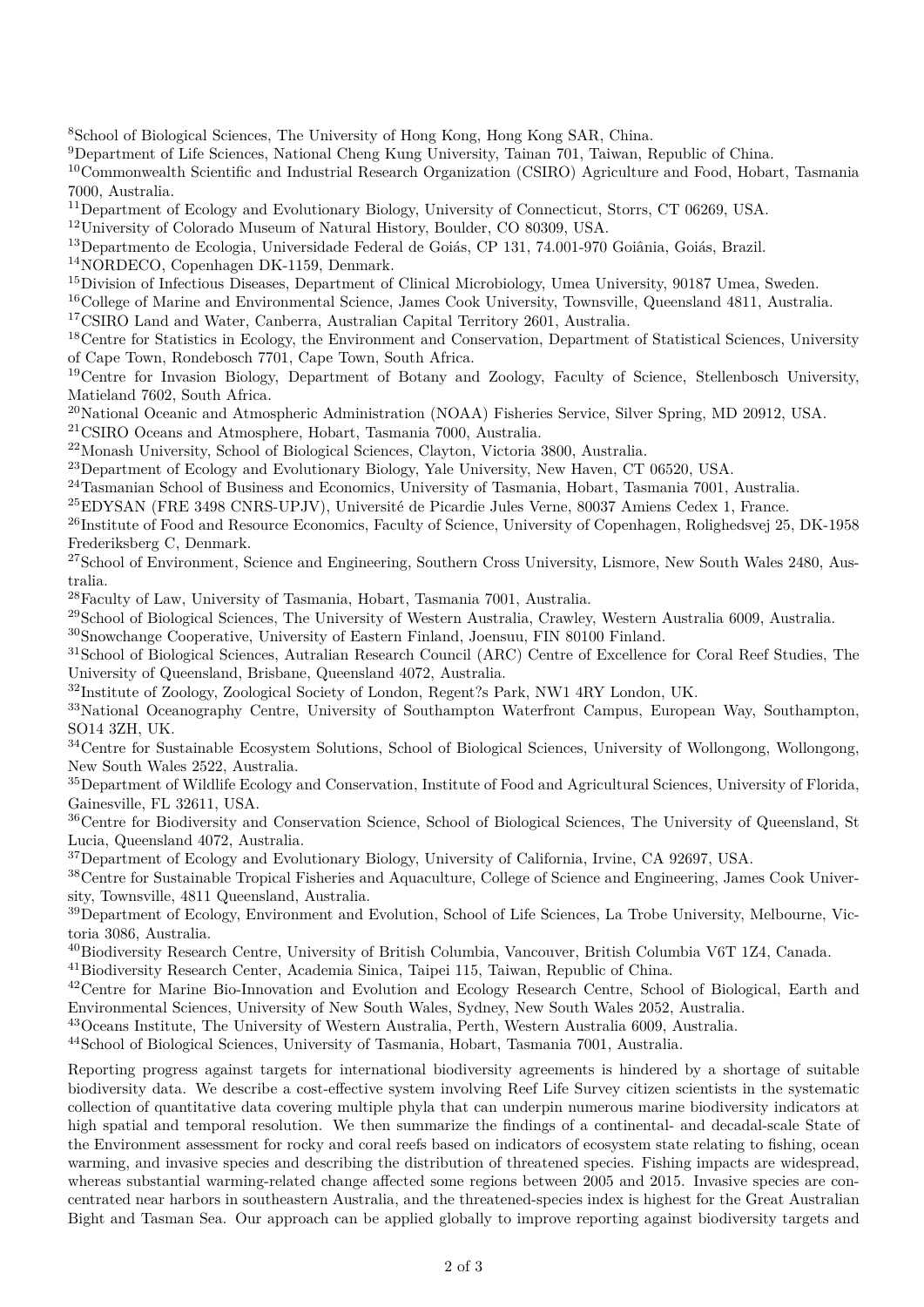<sup>8</sup>School of Biological Sciences, The University of Hong Kong, Hong Kong SAR, China.

<sup>9</sup>Department of Life Sciences, National Cheng Kung University, Tainan 701, Taiwan, Republic of China.

<sup>10</sup>Commonwealth Scientific and Industrial Research Organization (CSIRO) Agriculture and Food, Hobart, Tasmania 7000, Australia.

<sup>11</sup>Department of Ecology and Evolutionary Biology, University of Connecticut, Storrs, CT 06269, USA.

<sup>12</sup>University of Colorado Museum of Natural History, Boulder, CO 80309, USA.

<sup>13</sup>Departmento de Ecologia, Universidade Federal de Goiás, CP 131, 74.001-970 Goiânia, Goiás, Brazil.

<sup>14</sup>NORDECO, Copenhagen DK-1159, Denmark.

<sup>15</sup>Division of Infectious Diseases, Department of Clinical Microbiology, Umea University, 90187 Umea, Sweden.

<sup>16</sup>College of Marine and Environmental Science, James Cook University, Townsville, Queensland 4811, Australia.

<sup>17</sup>CSIRO Land and Water, Canberra, Australian Capital Territory 2601, Australia.

<sup>18</sup>Centre for Statistics in Ecology, the Environment and Conservation, Department of Statistical Sciences, University of Cape Town, Rondebosch 7701, Cape Town, South Africa.

<sup>19</sup>Centre for Invasion Biology, Department of Botany and Zoology, Faculty of Science, Stellenbosch University, Matieland 7602, South Africa.

<sup>20</sup>National Oceanic and Atmospheric Administration (NOAA) Fisheries Service, Silver Spring, MD 20912, USA.

<sup>21</sup>CSIRO Oceans and Atmosphere, Hobart, Tasmania 7000, Australia.

<sup>22</sup>Monash University, School of Biological Sciences, Clayton, Victoria 3800, Australia.

<sup>23</sup>Department of Ecology and Evolutionary Biology, Yale University, New Haven, CT 06520, USA.

<sup>24</sup>Tasmanian School of Business and Economics, University of Tasmania, Hobart, Tasmania 7001, Australia.

<sup>25</sup>EDYSAN (FRE 3498 CNRS-UPJV), Université de Picardie Jules Verne, 80037 Amiens Cedex 1, France.

<sup>26</sup>Institute of Food and Resource Economics, Faculty of Science, University of Copenhagen, Rolighedsvej 25, DK-1958 Frederiksberg C, Denmark.

 $^{27}$ School of Environment, Science and Engineering, Southern Cross University, Lismore, New South Wales 2480, Australia.

<sup>28</sup>Faculty of Law, University of Tasmania, Hobart, Tasmania 7001, Australia.

<sup>29</sup>School of Biological Sciences, The University of Western Australia, Crawley, Western Australia 6009, Australia.

<sup>30</sup>Snowchange Cooperative, University of Eastern Finland, Joensuu, FIN 80100 Finland.

<sup>31</sup>School of Biological Sciences, Autralian Research Council (ARC) Centre of Excellence for Coral Reef Studies, The University of Queensland, Brisbane, Queensland 4072, Australia.

<sup>32</sup>Institute of Zoology, Zoological Society of London, Regent?s Park, NW1 4RY London, UK.

<sup>33</sup>National Oceanography Centre, University of Southampton Waterfront Campus, European Way, Southampton, SO14 3ZH, UK.

<sup>34</sup>Centre for Sustainable Ecosystem Solutions, School of Biological Sciences, University of Wollongong, Wollongong, New South Wales 2522, Australia.

<sup>35</sup>Department of Wildlife Ecology and Conservation, Institute of Food and Agricultural Sciences, University of Florida, Gainesville, FL 32611, USA.

<sup>36</sup>Centre for Biodiversity and Conservation Science, School of Biological Sciences, The University of Queensland, St Lucia, Queensland 4072, Australia.

<sup>37</sup>Department of Ecology and Evolutionary Biology, University of California, Irvine, CA 92697, USA.

<sup>38</sup>Centre for Sustainable Tropical Fisheries and Aquaculture, College of Science and Engineering, James Cook University, Townsville, 4811 Queensland, Australia.

 $39D$ epartment of Ecology, Environment and Evolution, School of Life Sciences, La Trobe University, Melbourne, Victoria 3086, Australia.

<sup>40</sup>Biodiversity Research Centre, University of British Columbia, Vancouver, British Columbia V6T 1Z4, Canada.

<sup>41</sup>Biodiversity Research Center, Academia Sinica, Taipei 115, Taiwan, Republic of China.

<sup>42</sup>Centre for Marine Bio-Innovation and Evolution and Ecology Research Centre, School of Biological, Earth and Environmental Sciences, University of New South Wales, Sydney, New South Wales 2052, Australia.

<sup>43</sup>Oceans Institute, The University of Western Australia, Perth, Western Australia 6009, Australia.

<sup>44</sup>School of Biological Sciences, University of Tasmania, Hobart, Tasmania 7001, Australia.

Reporting progress against targets for international biodiversity agreements is hindered by a shortage of suitable biodiversity data. We describe a cost-effective system involving Reef Life Survey citizen scientists in the systematic collection of quantitative data covering multiple phyla that can underpin numerous marine biodiversity indicators at high spatial and temporal resolution. We then summarize the findings of a continental- and decadal-scale State of the Environment assessment for rocky and coral reefs based on indicators of ecosystem state relating to fishing, ocean warming, and invasive species and describing the distribution of threatened species. Fishing impacts are widespread, whereas substantial warming-related change affected some regions between 2005 and 2015. Invasive species are concentrated near harbors in southeastern Australia, and the threatened-species index is highest for the Great Australian Bight and Tasman Sea. Our approach can be applied globally to improve reporting against biodiversity targets and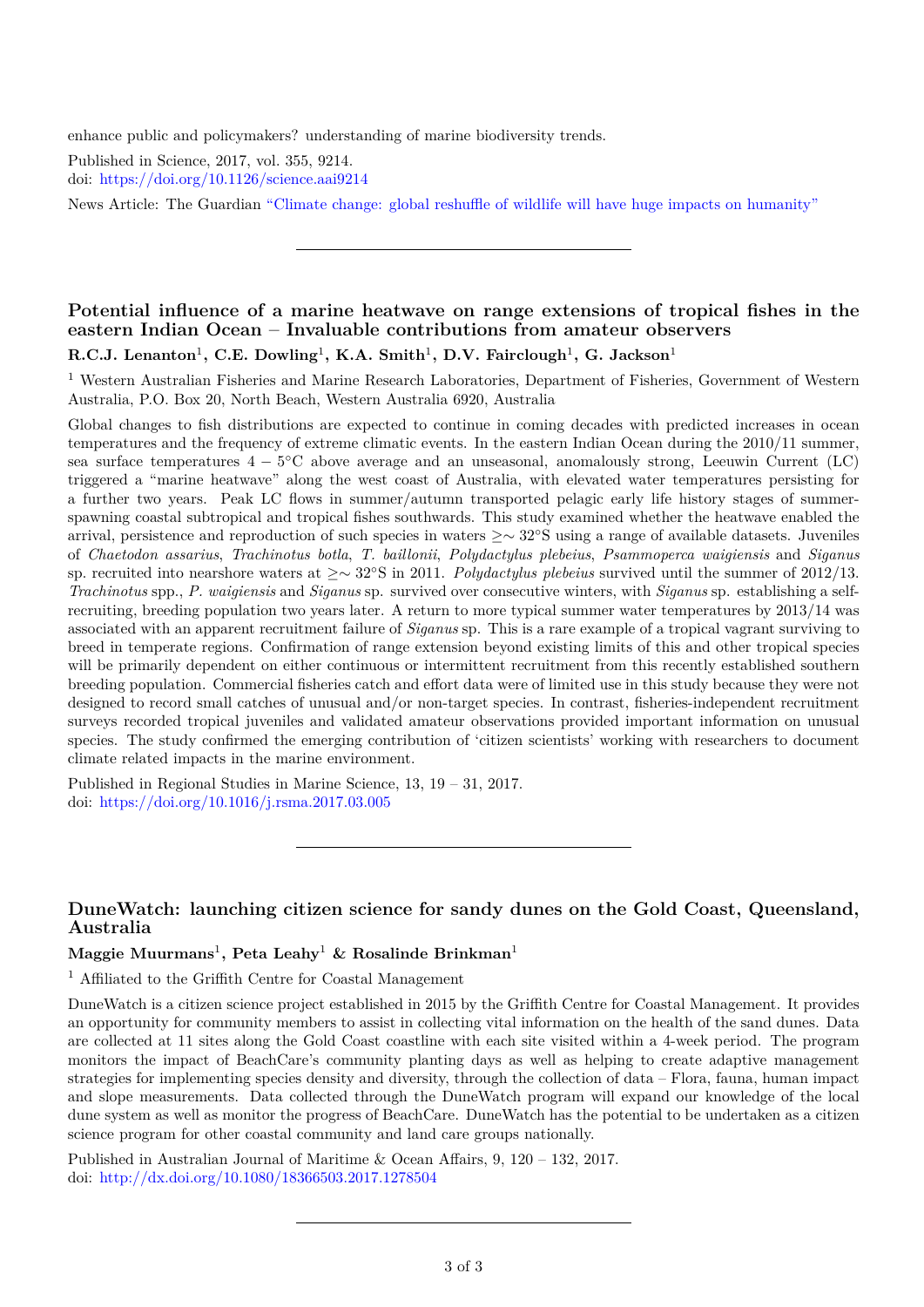enhance public and policymakers? understanding of marine biodiversity trends.

Published in Science, 2017, vol. 355, 9214. doi: <https://doi.org/10.1126/science.aai9214>

News Article: The Guardian ["Climate change: global reshuffle of wildlife will have huge impacts on humanity"](https://www.theguardian.com/environment/2017/mar/30/climate-change-global-reshuffle-of-wildlife-will-have-huge-impacts-on-humanity)

#### **Potential influence of a marine heatwave on range extensions of tropical fishes in the eastern Indian Ocean – Invaluable contributions from amateur observers**

 $R.C.J.$  Lenanton<sup>1</sup>, C.E. Dowling<sup>1</sup>, K.A. Smith<sup>1</sup>, D.V. Fairclough<sup>1</sup>, G. Jackson<sup>1</sup>

<sup>1</sup> Western Australian Fisheries and Marine Research Laboratories, Department of Fisheries, Government of Western Australia, P.O. Box 20, North Beach, Western Australia 6920, Australia

Global changes to fish distributions are expected to continue in coming decades with predicted increases in ocean temperatures and the frequency of extreme climatic events. In the eastern Indian Ocean during the 2010/11 summer, sea surface temperatures 4 − 5 ◦C above average and an unseasonal, anomalously strong, Leeuwin Current (LC) triggered a "marine heatwave" along the west coast of Australia, with elevated water temperatures persisting for a further two years. Peak LC flows in summer/autumn transported pelagic early life history stages of summerspawning coastal subtropical and tropical fishes southwards. This study examined whether the heatwave enabled the arrival, persistence and reproduction of such species in waters ≥∼ 32◦S using a range of available datasets. Juveniles of *Chaetodon assarius*, *Trachinotus botla*, *T. baillonii*, *Polydactylus plebeius*, *Psammoperca waigiensis* and *Siganus* sp. recruited into nearshore waters at ≥∼ 32◦S in 2011. *Polydactylus plebeius* survived until the summer of 2012/13. *Trachinotus* spp., *P. waigiensis* and *Siganus* sp. survived over consecutive winters, with *Siganus* sp. establishing a selfrecruiting, breeding population two years later. A return to more typical summer water temperatures by 2013/14 was associated with an apparent recruitment failure of *Siganus* sp. This is a rare example of a tropical vagrant surviving to breed in temperate regions. Confirmation of range extension beyond existing limits of this and other tropical species will be primarily dependent on either continuous or intermittent recruitment from this recently established southern breeding population. Commercial fisheries catch and effort data were of limited use in this study because they were not designed to record small catches of unusual and/or non-target species. In contrast, fisheries-independent recruitment surveys recorded tropical juveniles and validated amateur observations provided important information on unusual species. The study confirmed the emerging contribution of 'citizen scientists' working with researchers to document climate related impacts in the marine environment.

Published in Regional Studies in Marine Science, 13, 19 – 31, 2017. doi: <https://doi.org/10.1016/j.rsma.2017.03.005>

#### **DuneWatch: launching citizen science for sandy dunes on the Gold Coast, Queensland, Australia**

**Maggie Muurmans**<sup>1</sup> **, Peta Leahy**<sup>1</sup> **& Rosalinde Brinkman**<sup>1</sup>

<sup>1</sup> Affiliated to the Griffith Centre for Coastal Management

DuneWatch is a citizen science project established in 2015 by the Griffith Centre for Coastal Management. It provides an opportunity for community members to assist in collecting vital information on the health of the sand dunes. Data are collected at 11 sites along the Gold Coast coastline with each site visited within a 4-week period. The program monitors the impact of BeachCare's community planting days as well as helping to create adaptive management strategies for implementing species density and diversity, through the collection of data – Flora, fauna, human impact and slope measurements. Data collected through the DuneWatch program will expand our knowledge of the local dune system as well as monitor the progress of BeachCare. DuneWatch has the potential to be undertaken as a citizen science program for other coastal community and land care groups nationally.

Published in Australian Journal of Maritime & Ocean Affairs, 9, 120 – 132, 2017. doi: <http://dx.doi.org/10.1080/18366503.2017.1278504>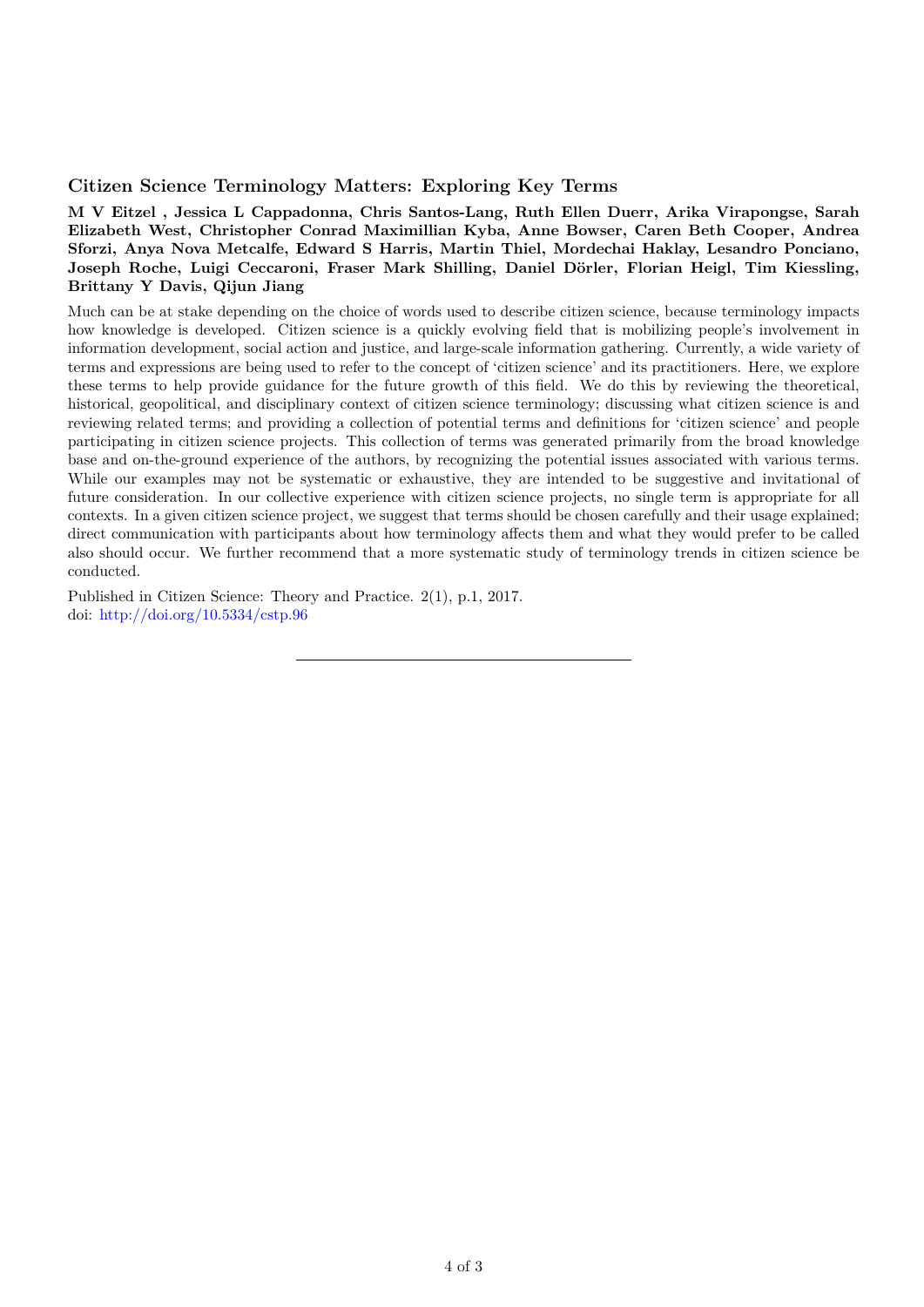#### **Citizen Science Terminology Matters: Exploring Key Terms**

**M V Eitzel , Jessica L Cappadonna, Chris Santos-Lang, Ruth Ellen Duerr, Arika Virapongse, Sarah Elizabeth West, Christopher Conrad Maximillian Kyba, Anne Bowser, Caren Beth Cooper, Andrea Sforzi, Anya Nova Metcalfe, Edward S Harris, Martin Thiel, Mordechai Haklay, Lesandro Ponciano, Joseph Roche, Luigi Ceccaroni, Fraser Mark Shilling, Daniel Dörler, Florian Heigl, Tim Kiessling, Brittany Y Davis, Qijun Jiang**

Much can be at stake depending on the choice of words used to describe citizen science, because terminology impacts how knowledge is developed. Citizen science is a quickly evolving field that is mobilizing people's involvement in information development, social action and justice, and large-scale information gathering. Currently, a wide variety of terms and expressions are being used to refer to the concept of 'citizen science' and its practitioners. Here, we explore these terms to help provide guidance for the future growth of this field. We do this by reviewing the theoretical, historical, geopolitical, and disciplinary context of citizen science terminology; discussing what citizen science is and reviewing related terms; and providing a collection of potential terms and definitions for 'citizen science' and people participating in citizen science projects. This collection of terms was generated primarily from the broad knowledge base and on-the-ground experience of the authors, by recognizing the potential issues associated with various terms. While our examples may not be systematic or exhaustive, they are intended to be suggestive and invitational of future consideration. In our collective experience with citizen science projects, no single term is appropriate for all contexts. In a given citizen science project, we suggest that terms should be chosen carefully and their usage explained; direct communication with participants about how terminology affects them and what they would prefer to be called also should occur. We further recommend that a more systematic study of terminology trends in citizen science be conducted.

Published in Citizen Science: Theory and Practice. 2(1), p.1, 2017. doi: <http://doi.org/10.5334/cstp.96>